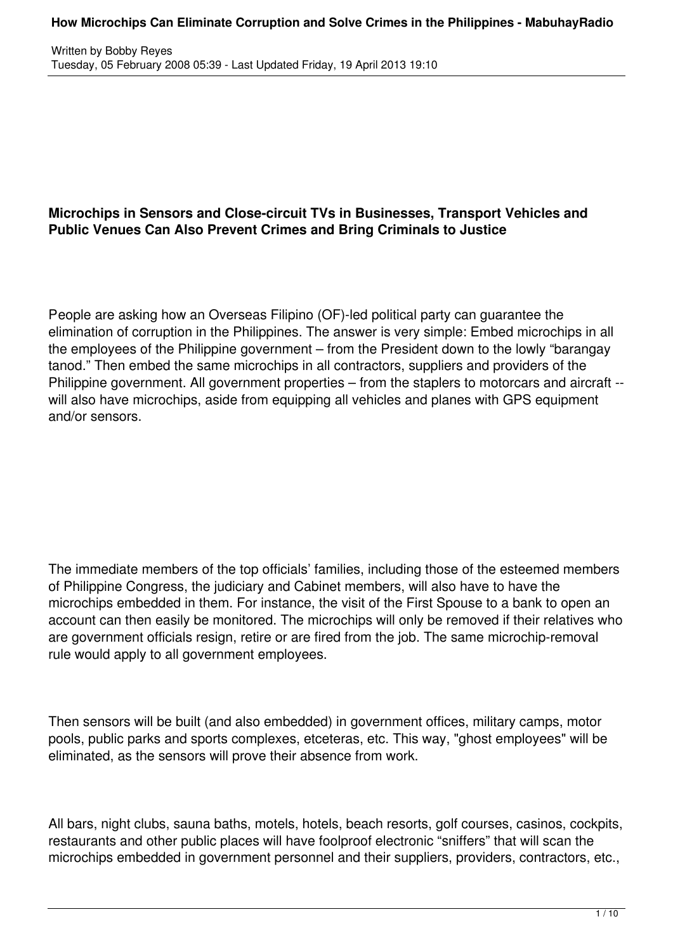# **Microchips in Sensors and Close-circuit TVs in Businesses, Transport Vehicles and Public Venues Can Also Prevent Crimes and Bring Criminals to Justice**

People are asking how an Overseas Filipino (OF)-led political party can guarantee the elimination of corruption in the Philippines. The answer is very simple: Embed microchips in all the employees of the Philippine government – from the President down to the lowly "barangay tanod." Then embed the same microchips in all contractors, suppliers and providers of the Philippine government. All government properties – from the staplers to motorcars and aircraft - will also have microchips, aside from equipping all vehicles and planes with GPS equipment and/or sensors.

The immediate members of the top officials' families, including those of the esteemed members of Philippine Congress, the judiciary and Cabinet members, will also have to have the microchips embedded in them. For instance, the visit of the First Spouse to a bank to open an account can then easily be monitored. The microchips will only be removed if their relatives who are government officials resign, retire or are fired from the job. The same microchip-removal rule would apply to all government employees.

Then sensors will be built (and also embedded) in government offices, military camps, motor pools, public parks and sports complexes, etceteras, etc. This way, "ghost employees" will be eliminated, as the sensors will prove their absence from work.

All bars, night clubs, sauna baths, motels, hotels, beach resorts, golf courses, casinos, cockpits, restaurants and other public places will have foolproof electronic "sniffers" that will scan the microchips embedded in government personnel and their suppliers, providers, contractors, etc.,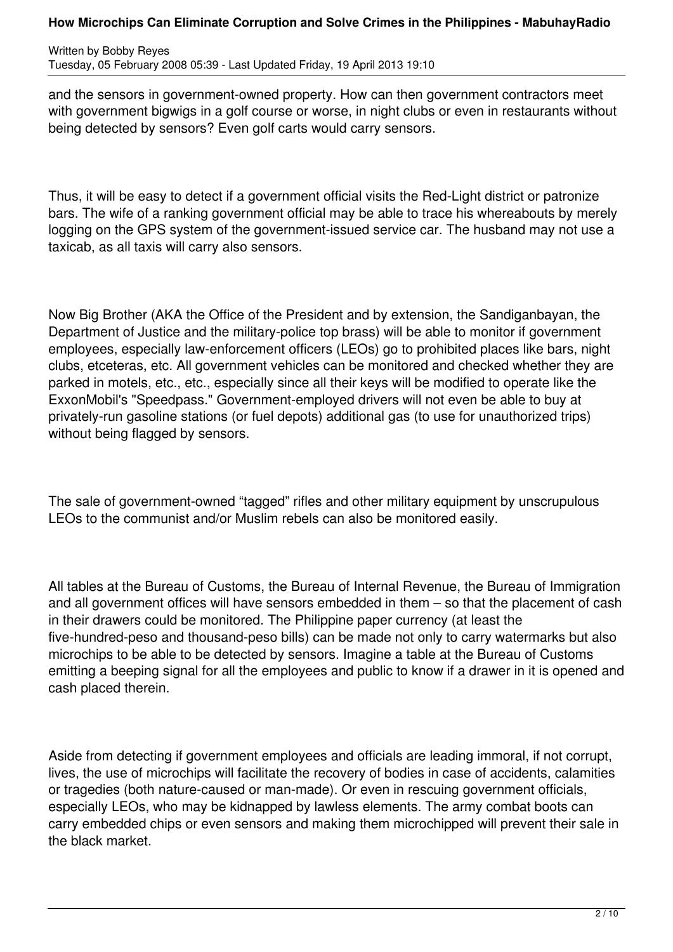Written by Bobby Reyes Tuesday, 05 February 2008 05:39 - Last Updated Friday, 19 April 2013 19:10

and the sensors in government-owned property. How can then government contractors meet with government bigwigs in a golf course or worse, in night clubs or even in restaurants without being detected by sensors? Even golf carts would carry sensors.

Thus, it will be easy to detect if a government official visits the Red-Light district or patronize bars. The wife of a ranking government official may be able to trace his whereabouts by merely logging on the GPS system of the government-issued service car. The husband may not use a taxicab, as all taxis will carry also sensors.

Now Big Brother (AKA the Office of the President and by extension, the Sandiganbayan, the Department of Justice and the military-police top brass) will be able to monitor if government employees, especially law-enforcement officers (LEOs) go to prohibited places like bars, night clubs, etceteras, etc. All government vehicles can be monitored and checked whether they are parked in motels, etc., etc., especially since all their keys will be modified to operate like the ExxonMobil's "Speedpass." Government-employed drivers will not even be able to buy at privately-run gasoline stations (or fuel depots) additional gas (to use for unauthorized trips) without being flagged by sensors.

The sale of government-owned "tagged" rifles and other military equipment by unscrupulous LEOs to the communist and/or Muslim rebels can also be monitored easily.

All tables at the Bureau of Customs, the Bureau of Internal Revenue, the Bureau of Immigration and all government offices will have sensors embedded in them – so that the placement of cash in their drawers could be monitored. The Philippine paper currency (at least the five-hundred-peso and thousand-peso bills) can be made not only to carry watermarks but also microchips to be able to be detected by sensors. Imagine a table at the Bureau of Customs emitting a beeping signal for all the employees and public to know if a drawer in it is opened and cash placed therein.

Aside from detecting if government employees and officials are leading immoral, if not corrupt, lives, the use of microchips will facilitate the recovery of bodies in case of accidents, calamities or tragedies (both nature-caused or man-made). Or even in rescuing government officials, especially LEOs, who may be kidnapped by lawless elements. The army combat boots can carry embedded chips or even sensors and making them microchipped will prevent their sale in the black market.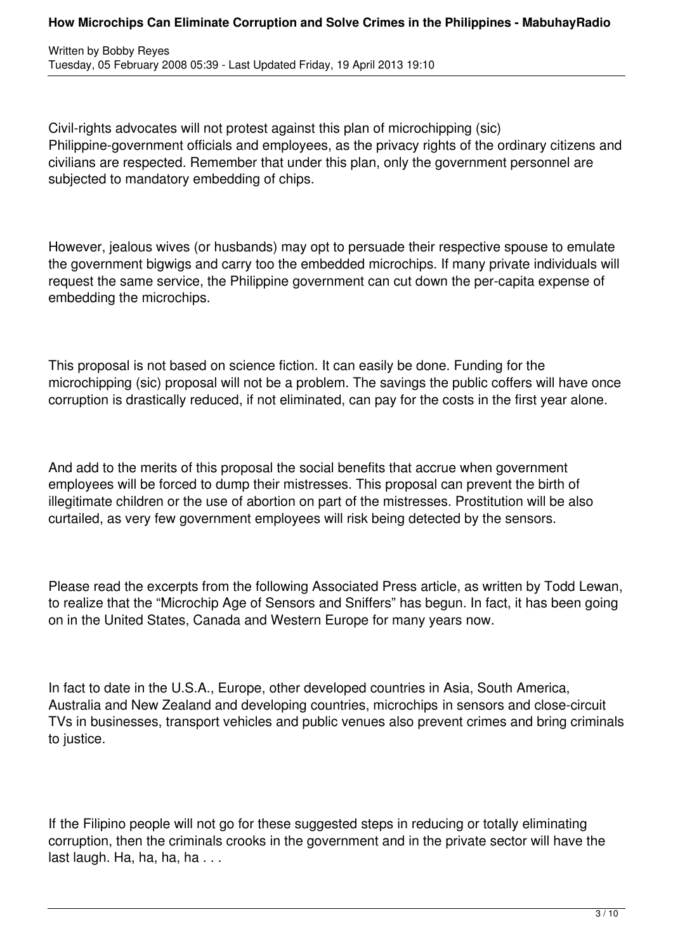Written by Bobby Reyes Tuesday, 05 February 2008 05:39 - Last Updated Friday, 19 April 2013 19:10

Civil-rights advocates will not protest against this plan of microchipping (sic) Philippine-government officials and employees, as the privacy rights of the ordinary citizens and civilians are respected. Remember that under this plan, only the government personnel are subjected to mandatory embedding of chips.

However, jealous wives (or husbands) may opt to persuade their respective spouse to emulate the government bigwigs and carry too the embedded microchips. If many private individuals will request the same service, the Philippine government can cut down the per-capita expense of embedding the microchips.

This proposal is not based on science fiction. It can easily be done. Funding for the microchipping (sic) proposal will not be a problem. The savings the public coffers will have once corruption is drastically reduced, if not eliminated, can pay for the costs in the first year alone.

And add to the merits of this proposal the social benefits that accrue when government employees will be forced to dump their mistresses. This proposal can prevent the birth of illegitimate children or the use of abortion on part of the mistresses. Prostitution will be also curtailed, as very few government employees will risk being detected by the sensors.

Please read the excerpts from the following Associated Press article, as written by Todd Lewan, to realize that the "Microchip Age of Sensors and Sniffers" has begun. In fact, it has been going on in the United States, Canada and Western Europe for many years now.

In fact to date in the U.S.A., Europe, other developed countries in Asia, South America, Australia and New Zealand and developing countries, microchips in sensors and close-circuit TVs in businesses, transport vehicles and public venues also prevent crimes and bring criminals to justice.

If the Filipino people will not go for these suggested steps in reducing or totally eliminating corruption, then the criminals crooks in the government and in the private sector will have the last laugh. Ha, ha, ha, ha . . .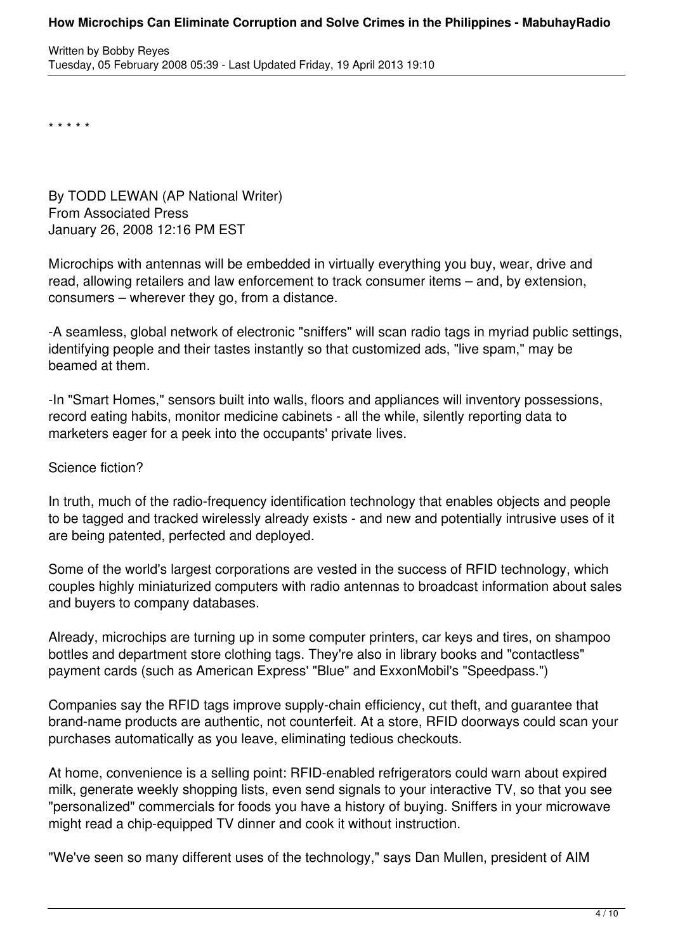\* \* \* \* \*

By TODD LEWAN (AP National Writer) From Associated Press January 26, 2008 12:16 PM EST

Microchips with antennas will be embedded in virtually everything you buy, wear, drive and read, allowing retailers and law enforcement to track consumer items – and, by extension, consumers – wherever they go, from a distance.

-A seamless, global network of electronic "sniffers" will scan radio tags in myriad public settings, identifying people and their tastes instantly so that customized ads, "live spam," may be beamed at them.

-In "Smart Homes," sensors built into walls, floors and appliances will inventory possessions, record eating habits, monitor medicine cabinets - all the while, silently reporting data to marketers eager for a peek into the occupants' private lives.

# Science fiction?

In truth, much of the radio-frequency identification technology that enables objects and people to be tagged and tracked wirelessly already exists - and new and potentially intrusive uses of it are being patented, perfected and deployed.

Some of the world's largest corporations are vested in the success of RFID technology, which couples highly miniaturized computers with radio antennas to broadcast information about sales and buyers to company databases.

Already, microchips are turning up in some computer printers, car keys and tires, on shampoo bottles and department store clothing tags. They're also in library books and "contactless" payment cards (such as American Express' "Blue" and ExxonMobil's "Speedpass.")

Companies say the RFID tags improve supply-chain efficiency, cut theft, and guarantee that brand-name products are authentic, not counterfeit. At a store, RFID doorways could scan your purchases automatically as you leave, eliminating tedious checkouts.

At home, convenience is a selling point: RFID-enabled refrigerators could warn about expired milk, generate weekly shopping lists, even send signals to your interactive TV, so that you see "personalized" commercials for foods you have a history of buying. Sniffers in your microwave might read a chip-equipped TV dinner and cook it without instruction.

"We've seen so many different uses of the technology," says Dan Mullen, president of AIM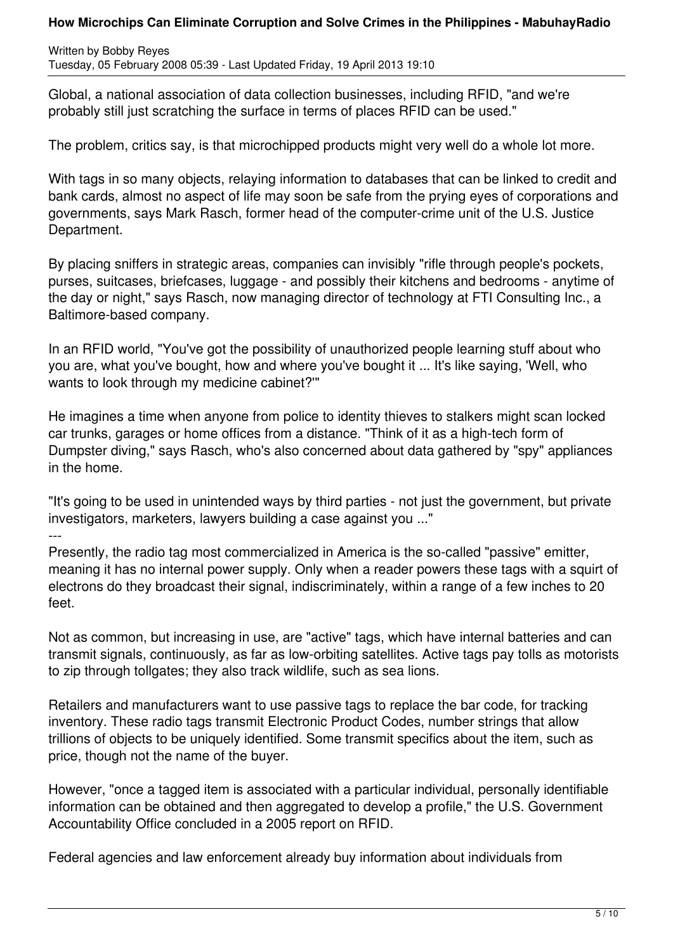Written by Bobby Reyes Tuesday, 05 February 2008 05:39 - Last Updated Friday, 19 April 2013 19:10

Global, a national association of data collection businesses, including RFID, "and we're probably still just scratching the surface in terms of places RFID can be used."

The problem, critics say, is that microchipped products might very well do a whole lot more.

With tags in so many objects, relaying information to databases that can be linked to credit and bank cards, almost no aspect of life may soon be safe from the prying eyes of corporations and governments, says Mark Rasch, former head of the computer-crime unit of the U.S. Justice Department.

By placing sniffers in strategic areas, companies can invisibly "rifle through people's pockets, purses, suitcases, briefcases, luggage - and possibly their kitchens and bedrooms - anytime of the day or night," says Rasch, now managing director of technology at FTI Consulting Inc., a Baltimore-based company.

In an RFID world, "You've got the possibility of unauthorized people learning stuff about who you are, what you've bought, how and where you've bought it ... It's like saying, 'Well, who wants to look through my medicine cabinet?'"

He imagines a time when anyone from police to identity thieves to stalkers might scan locked car trunks, garages or home offices from a distance. "Think of it as a high-tech form of Dumpster diving," says Rasch, who's also concerned about data gathered by "spy" appliances in the home.

"It's going to be used in unintended ways by third parties - not just the government, but private investigators, marketers, lawyers building a case against you ..." ---

Presently, the radio tag most commercialized in America is the so-called "passive" emitter, meaning it has no internal power supply. Only when a reader powers these tags with a squirt of electrons do they broadcast their signal, indiscriminately, within a range of a few inches to 20 feet.

Not as common, but increasing in use, are "active" tags, which have internal batteries and can transmit signals, continuously, as far as low-orbiting satellites. Active tags pay tolls as motorists to zip through tollgates; they also track wildlife, such as sea lions.

Retailers and manufacturers want to use passive tags to replace the bar code, for tracking inventory. These radio tags transmit Electronic Product Codes, number strings that allow trillions of objects to be uniquely identified. Some transmit specifics about the item, such as price, though not the name of the buyer.

However, "once a tagged item is associated with a particular individual, personally identifiable information can be obtained and then aggregated to develop a profile," the U.S. Government Accountability Office concluded in a 2005 report on RFID.

Federal agencies and law enforcement already buy information about individuals from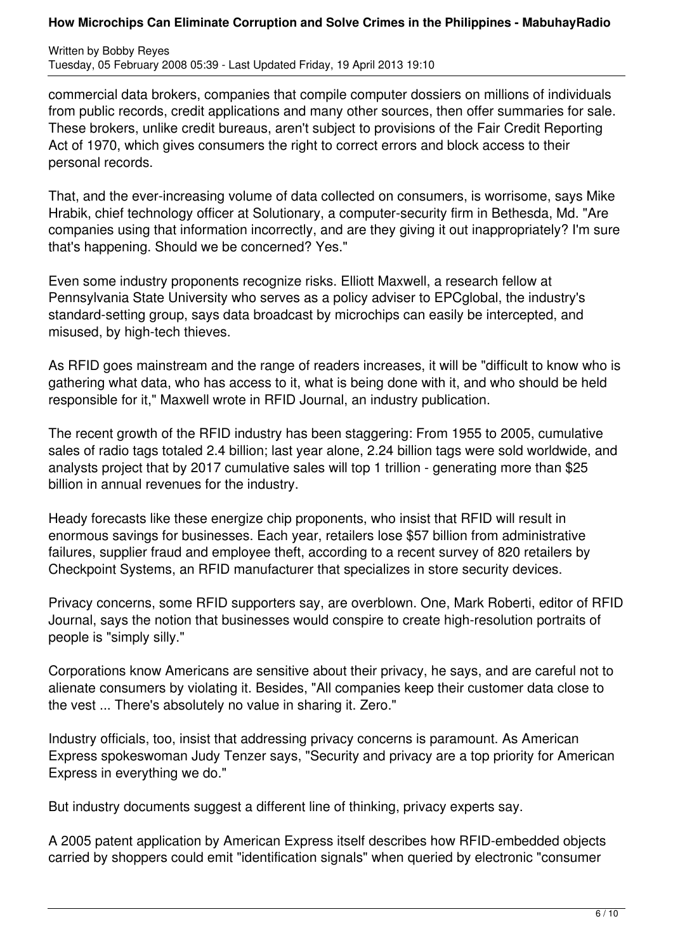Written by Bobby Reyes Tuesday, 05 February 2008 05:39 - Last Updated Friday, 19 April 2013 19:10

commercial data brokers, companies that compile computer dossiers on millions of individuals from public records, credit applications and many other sources, then offer summaries for sale. These brokers, unlike credit bureaus, aren't subject to provisions of the Fair Credit Reporting Act of 1970, which gives consumers the right to correct errors and block access to their personal records.

That, and the ever-increasing volume of data collected on consumers, is worrisome, says Mike Hrabik, chief technology officer at Solutionary, a computer-security firm in Bethesda, Md. "Are companies using that information incorrectly, and are they giving it out inappropriately? I'm sure that's happening. Should we be concerned? Yes."

Even some industry proponents recognize risks. Elliott Maxwell, a research fellow at Pennsylvania State University who serves as a policy adviser to EPCglobal, the industry's standard-setting group, says data broadcast by microchips can easily be intercepted, and misused, by high-tech thieves.

As RFID goes mainstream and the range of readers increases, it will be "difficult to know who is gathering what data, who has access to it, what is being done with it, and who should be held responsible for it," Maxwell wrote in RFID Journal, an industry publication.

The recent growth of the RFID industry has been staggering: From 1955 to 2005, cumulative sales of radio tags totaled 2.4 billion; last year alone, 2.24 billion tags were sold worldwide, and analysts project that by 2017 cumulative sales will top 1 trillion - generating more than \$25 billion in annual revenues for the industry.

Heady forecasts like these energize chip proponents, who insist that RFID will result in enormous savings for businesses. Each year, retailers lose \$57 billion from administrative failures, supplier fraud and employee theft, according to a recent survey of 820 retailers by Checkpoint Systems, an RFID manufacturer that specializes in store security devices.

Privacy concerns, some RFID supporters say, are overblown. One, Mark Roberti, editor of RFID Journal, says the notion that businesses would conspire to create high-resolution portraits of people is "simply silly."

Corporations know Americans are sensitive about their privacy, he says, and are careful not to alienate consumers by violating it. Besides, "All companies keep their customer data close to the vest ... There's absolutely no value in sharing it. Zero."

Industry officials, too, insist that addressing privacy concerns is paramount. As American Express spokeswoman Judy Tenzer says, "Security and privacy are a top priority for American Express in everything we do."

But industry documents suggest a different line of thinking, privacy experts say.

A 2005 patent application by American Express itself describes how RFID-embedded objects carried by shoppers could emit "identification signals" when queried by electronic "consumer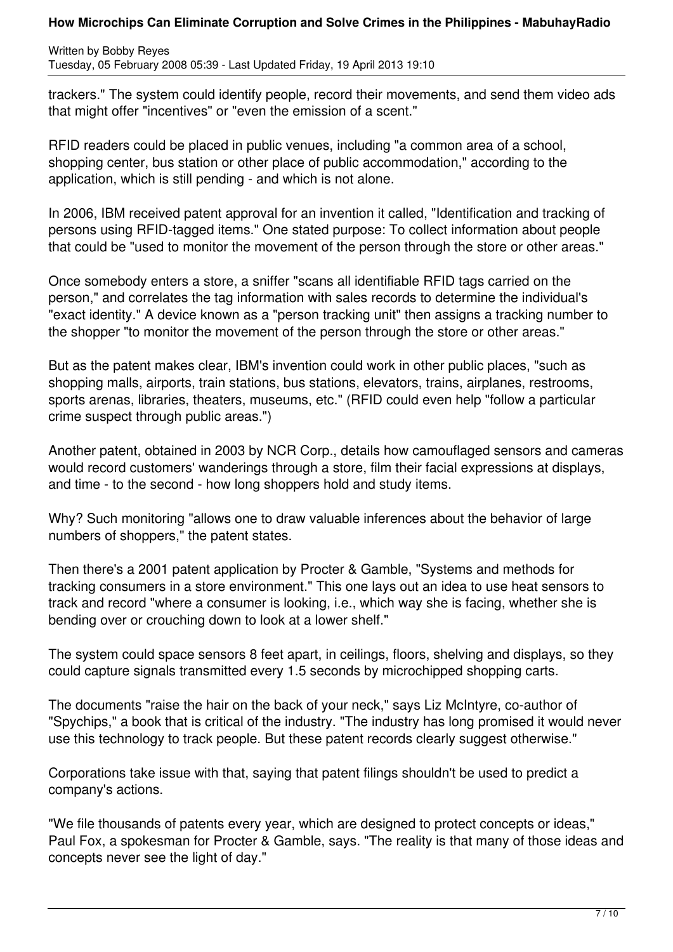Written by Bobby Reyes Tuesday, 05 February 2008 05:39 - Last Updated Friday, 19 April 2013 19:10

trackers." The system could identify people, record their movements, and send them video ads that might offer "incentives" or "even the emission of a scent."

RFID readers could be placed in public venues, including "a common area of a school, shopping center, bus station or other place of public accommodation," according to the application, which is still pending - and which is not alone.

In 2006, IBM received patent approval for an invention it called, "Identification and tracking of persons using RFID-tagged items." One stated purpose: To collect information about people that could be "used to monitor the movement of the person through the store or other areas."

Once somebody enters a store, a sniffer "scans all identifiable RFID tags carried on the person," and correlates the tag information with sales records to determine the individual's "exact identity." A device known as a "person tracking unit" then assigns a tracking number to the shopper "to monitor the movement of the person through the store or other areas."

But as the patent makes clear, IBM's invention could work in other public places, "such as shopping malls, airports, train stations, bus stations, elevators, trains, airplanes, restrooms, sports arenas, libraries, theaters, museums, etc." (RFID could even help "follow a particular crime suspect through public areas.")

Another patent, obtained in 2003 by NCR Corp., details how camouflaged sensors and cameras would record customers' wanderings through a store, film their facial expressions at displays, and time - to the second - how long shoppers hold and study items.

Why? Such monitoring "allows one to draw valuable inferences about the behavior of large numbers of shoppers," the patent states.

Then there's a 2001 patent application by Procter & Gamble, "Systems and methods for tracking consumers in a store environment." This one lays out an idea to use heat sensors to track and record "where a consumer is looking, i.e., which way she is facing, whether she is bending over or crouching down to look at a lower shelf."

The system could space sensors 8 feet apart, in ceilings, floors, shelving and displays, so they could capture signals transmitted every 1.5 seconds by microchipped shopping carts.

The documents "raise the hair on the back of your neck," says Liz McIntyre, co-author of "Spychips," a book that is critical of the industry. "The industry has long promised it would never use this technology to track people. But these patent records clearly suggest otherwise."

Corporations take issue with that, saying that patent filings shouldn't be used to predict a company's actions.

"We file thousands of patents every year, which are designed to protect concepts or ideas," Paul Fox, a spokesman for Procter & Gamble, says. "The reality is that many of those ideas and concepts never see the light of day."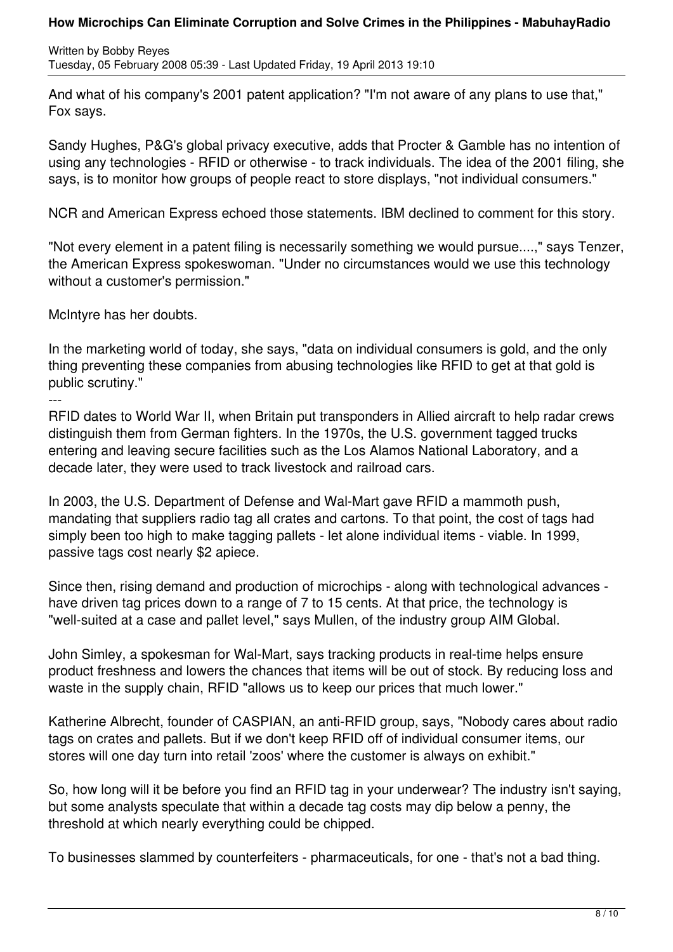Written by Bobby Reyes Tuesday, 05 February 2008 05:39 - Last Updated Friday, 19 April 2013 19:10

And what of his company's 2001 patent application? "I'm not aware of any plans to use that," Fox says.

Sandy Hughes, P&G's global privacy executive, adds that Procter & Gamble has no intention of using any technologies - RFID or otherwise - to track individuals. The idea of the 2001 filing, she says, is to monitor how groups of people react to store displays, "not individual consumers."

NCR and American Express echoed those statements. IBM declined to comment for this story.

"Not every element in a patent filing is necessarily something we would pursue....," says Tenzer, the American Express spokeswoman. "Under no circumstances would we use this technology without a customer's permission."

McIntyre has her doubts.

In the marketing world of today, she says, "data on individual consumers is gold, and the only thing preventing these companies from abusing technologies like RFID to get at that gold is public scrutiny."

---

RFID dates to World War II, when Britain put transponders in Allied aircraft to help radar crews distinguish them from German fighters. In the 1970s, the U.S. government tagged trucks entering and leaving secure facilities such as the Los Alamos National Laboratory, and a decade later, they were used to track livestock and railroad cars.

In 2003, the U.S. Department of Defense and Wal-Mart gave RFID a mammoth push, mandating that suppliers radio tag all crates and cartons. To that point, the cost of tags had simply been too high to make tagging pallets - let alone individual items - viable. In 1999, passive tags cost nearly \$2 apiece.

Since then, rising demand and production of microchips - along with technological advances have driven tag prices down to a range of 7 to 15 cents. At that price, the technology is "well-suited at a case and pallet level," says Mullen, of the industry group AIM Global.

John Simley, a spokesman for Wal-Mart, says tracking products in real-time helps ensure product freshness and lowers the chances that items will be out of stock. By reducing loss and waste in the supply chain, RFID "allows us to keep our prices that much lower."

Katherine Albrecht, founder of CASPIAN, an anti-RFID group, says, "Nobody cares about radio tags on crates and pallets. But if we don't keep RFID off of individual consumer items, our stores will one day turn into retail 'zoos' where the customer is always on exhibit."

So, how long will it be before you find an RFID tag in your underwear? The industry isn't saying, but some analysts speculate that within a decade tag costs may dip below a penny, the threshold at which nearly everything could be chipped.

To businesses slammed by counterfeiters - pharmaceuticals, for one - that's not a bad thing.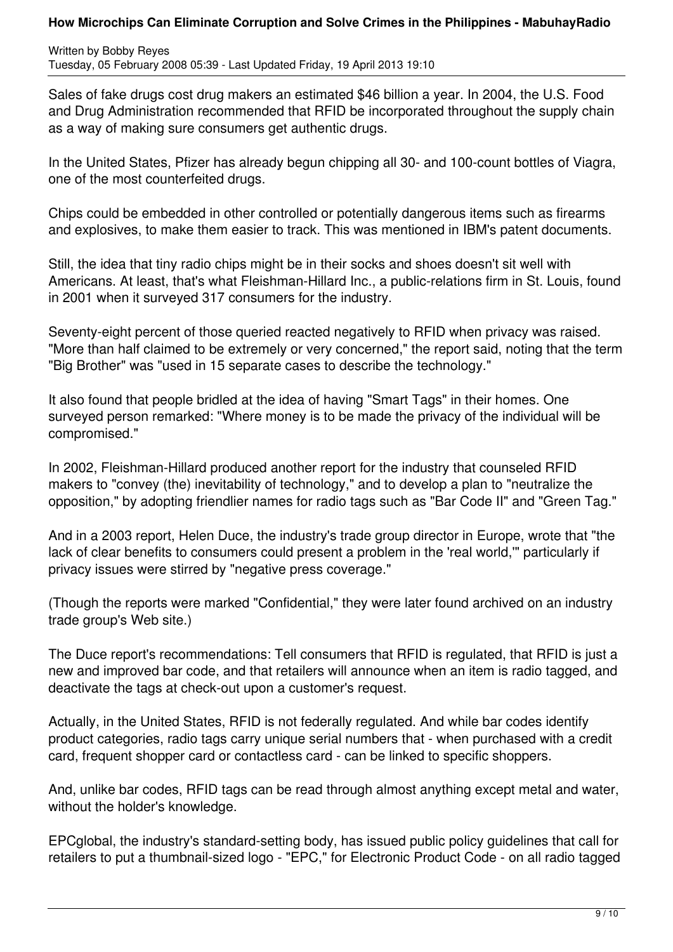Written by Bobby Reyes Tuesday, 05 February 2008 05:39 - Last Updated Friday, 19 April 2013 19:10

Sales of fake drugs cost drug makers an estimated \$46 billion a year. In 2004, the U.S. Food and Drug Administration recommended that RFID be incorporated throughout the supply chain as a way of making sure consumers get authentic drugs.

In the United States, Pfizer has already begun chipping all 30- and 100-count bottles of Viagra, one of the most counterfeited drugs.

Chips could be embedded in other controlled or potentially dangerous items such as firearms and explosives, to make them easier to track. This was mentioned in IBM's patent documents.

Still, the idea that tiny radio chips might be in their socks and shoes doesn't sit well with Americans. At least, that's what Fleishman-Hillard Inc., a public-relations firm in St. Louis, found in 2001 when it surveyed 317 consumers for the industry.

Seventy-eight percent of those queried reacted negatively to RFID when privacy was raised. "More than half claimed to be extremely or very concerned," the report said, noting that the term "Big Brother" was "used in 15 separate cases to describe the technology."

It also found that people bridled at the idea of having "Smart Tags" in their homes. One surveyed person remarked: "Where money is to be made the privacy of the individual will be compromised."

In 2002, Fleishman-Hillard produced another report for the industry that counseled RFID makers to "convey (the) inevitability of technology," and to develop a plan to "neutralize the opposition," by adopting friendlier names for radio tags such as "Bar Code II" and "Green Tag."

And in a 2003 report, Helen Duce, the industry's trade group director in Europe, wrote that "the lack of clear benefits to consumers could present a problem in the 'real world,'" particularly if privacy issues were stirred by "negative press coverage."

(Though the reports were marked "Confidential," they were later found archived on an industry trade group's Web site.)

The Duce report's recommendations: Tell consumers that RFID is regulated, that RFID is just a new and improved bar code, and that retailers will announce when an item is radio tagged, and deactivate the tags at check-out upon a customer's request.

Actually, in the United States, RFID is not federally regulated. And while bar codes identify product categories, radio tags carry unique serial numbers that - when purchased with a credit card, frequent shopper card or contactless card - can be linked to specific shoppers.

And, unlike bar codes, RFID tags can be read through almost anything except metal and water, without the holder's knowledge.

EPCglobal, the industry's standard-setting body, has issued public policy guidelines that call for retailers to put a thumbnail-sized logo - "EPC," for Electronic Product Code - on all radio tagged